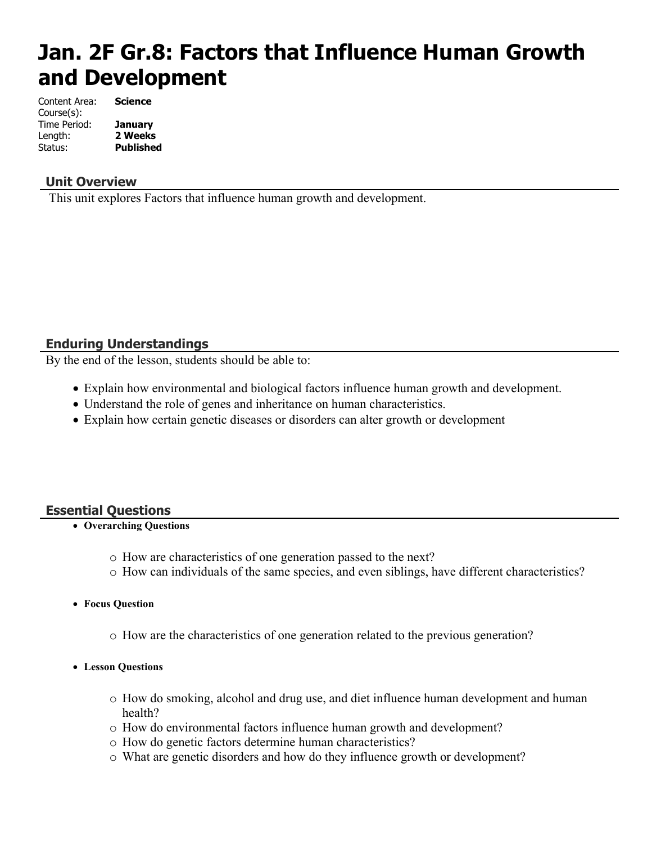# **Jan. 2F Gr.8: Factors that Influence Human Growth and Development**

| Content Area: | <b>Science</b>   |
|---------------|------------------|
| Course(s):    |                  |
| Time Period:  | <b>January</b>   |
| Length:       | 2 Weeks          |
| Status:       | <b>Published</b> |

#### **Unit Overview**

This unit explores Factors that influence human growth and development.

#### **Enduring Understandings**

By the end of the lesson, students should be able to:

- Explain how environmental and biological factors influence human growth and development.
- Understand the role of genes and inheritance on human characteristics.
- Explain how certain genetic diseases or disorders can alter growth or development

#### **Essential Questions**

- **Overarching Questions**
	- o How are characteristics of one generation passed to the next?
	- o How can individuals of the same species, and even siblings, have different characteristics?
- **Focus Question**
	- o How are the characteristics of one generation related to the previous generation?
- **Lesson Questions**
	- o How do smoking, alcohol and drug use, and diet influence human development and human health?
	- o How do environmental factors influence human growth and development?
	- o How do genetic factors determine human characteristics?
	- o What are genetic disorders and how do they influence growth or development?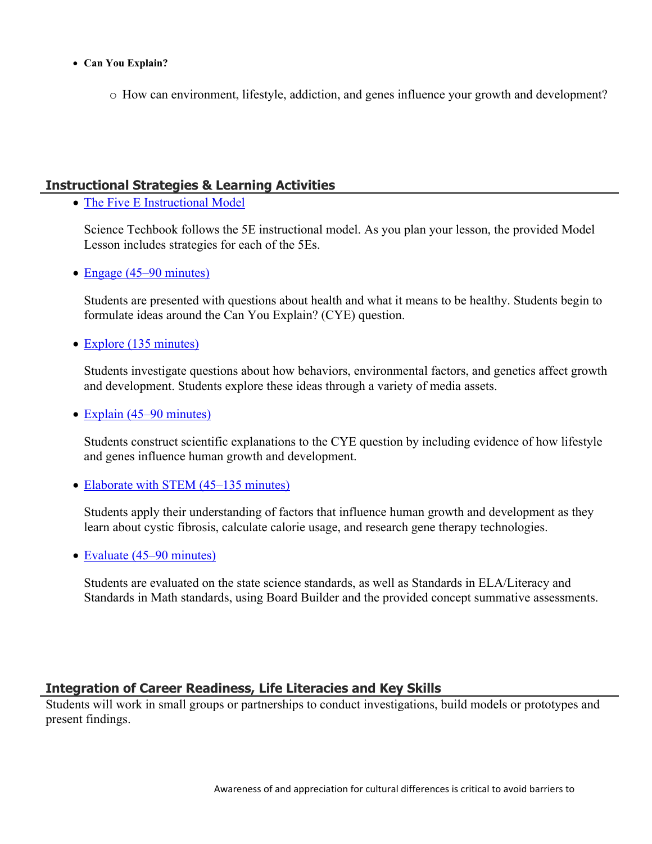- **Can You Explain?**
	- o How can environment, lifestyle, addiction, and genes influence your growth and development?

### **Instructional Strategies & Learning Activities**

• [The Five E Instructional Model](https://app.discoveryeducation.com/learn/techbook/units/93c6eda5-eac8-46a9-945f-6a86e10f0bc5/concepts/219c9bb7-7775-4005-bdd5-e700be2723d5/lesson/sections/8022f665-77ce-48b0-a4f7-d3da779d9c32#4af4c4f3-d978-43ad-b703-57aef61359ea)

Science Techbook follows the 5E instructional model. As you plan your lesson, the provided Model Lesson includes strategies for each of the 5Es.

• [Engage \(45–90 minutes\)](https://app.discoveryeducation.com/learn/techbook/units/93c6eda5-eac8-46a9-945f-6a86e10f0bc5/concepts/219c9bb7-7775-4005-bdd5-e700be2723d5/lesson/sections/8022f665-77ce-48b0-a4f7-d3da779d9c32#0a79e36e-f8f6-45c7-8092-461dc7b5ae24)

Students are presented with questions about health and what it means to be healthy. Students begin to formulate ideas around the Can You Explain? (CYE) question.

• [Explore \(135 minutes\)](https://app.discoveryeducation.com/learn/techbook/units/93c6eda5-eac8-46a9-945f-6a86e10f0bc5/concepts/219c9bb7-7775-4005-bdd5-e700be2723d5/lesson/sections/8022f665-77ce-48b0-a4f7-d3da779d9c32#9bbed9e6-d527-40ba-930f-cf93d8e9d8ba)

Students investigate questions about how behaviors, environmental factors, and genetics affect growth and development. Students explore these ideas through a variety of media assets.

 $\bullet$  [Explain \(45–90 minutes\)](https://app.discoveryeducation.com/learn/techbook/units/93c6eda5-eac8-46a9-945f-6a86e10f0bc5/concepts/219c9bb7-7775-4005-bdd5-e700be2723d5/lesson/sections/8022f665-77ce-48b0-a4f7-d3da779d9c32#23123669-3af4-4808-afd2-5d6ebed11240)

Students construct scientific explanations to the CYE question by including evidence of how lifestyle and genes influence human growth and development.

• [Elaborate with STEM \(45–135 minutes\)](https://app.discoveryeducation.com/learn/techbook/units/93c6eda5-eac8-46a9-945f-6a86e10f0bc5/concepts/219c9bb7-7775-4005-bdd5-e700be2723d5/lesson/sections/8022f665-77ce-48b0-a4f7-d3da779d9c32#6ec71a13-6c10-4a22-8341-90838f712027)

Students apply their understanding of factors that influence human growth and development as they learn about cystic fibrosis, calculate calorie usage, and research gene therapy technologies.

• [Evaluate \(45–90 minutes\)](https://app.discoveryeducation.com/learn/techbook/units/93c6eda5-eac8-46a9-945f-6a86e10f0bc5/concepts/219c9bb7-7775-4005-bdd5-e700be2723d5/lesson/sections/8022f665-77ce-48b0-a4f7-d3da779d9c32#b3fbd2c1-cfcf-4cae-b35a-cf2b63f3e8b6)

Students are evaluated on the state science standards, as well as Standards in ELA/Literacy and Standards in Math standards, using Board Builder and the provided concept summative assessments.

### **Integration of Career Readiness, Life Literacies and Key Skills**

Students will work in small groups or partnerships to conduct investigations, build models or prototypes and present findings.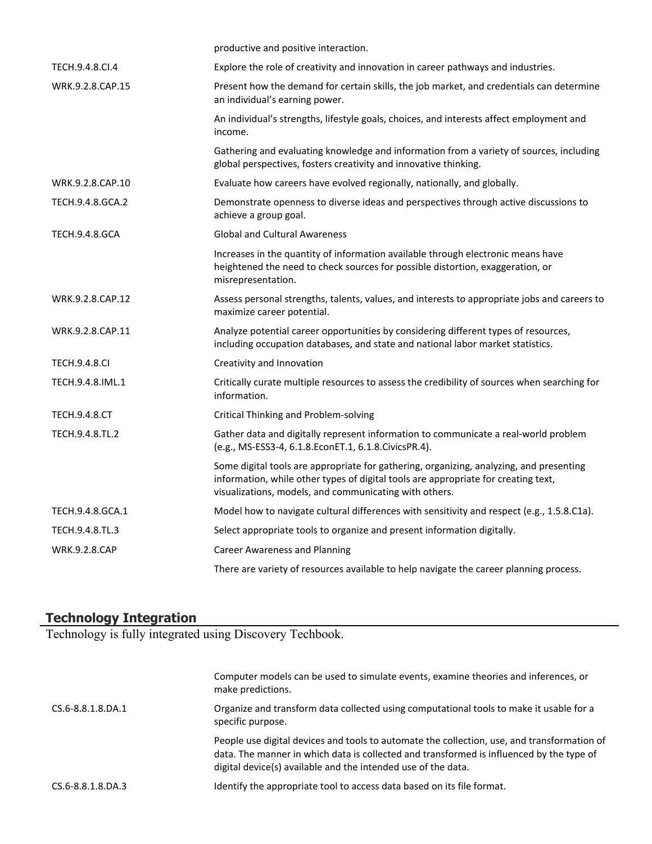|                       | productive and positive interaction.                                                                                                                                                                                                    |
|-----------------------|-----------------------------------------------------------------------------------------------------------------------------------------------------------------------------------------------------------------------------------------|
| TECH.9.4.8.CI.4       | Explore the role of creativity and innovation in career pathways and industries.                                                                                                                                                        |
| WRK.9.2.8.CAP.15      | Present how the demand for certain skills, the job market, and credentials can determine<br>an individual's earning power.                                                                                                              |
|                       | An individual's strengths, lifestyle goals, choices, and interests affect employment and<br>income.                                                                                                                                     |
|                       | Gathering and evaluating knowledge and information from a variety of sources, including<br>global perspectives, fosters creativity and innovative thinking.                                                                             |
| WRK.9.2.8.CAP.10      | Evaluate how careers have evolved regionally, nationally, and globally.                                                                                                                                                                 |
| TECH.9.4.8.GCA.2      | Demonstrate openness to diverse ideas and perspectives through active discussions to<br>achieve a group goal.                                                                                                                           |
| <b>TECH.9.4.8.GCA</b> | <b>Global and Cultural Awareness</b>                                                                                                                                                                                                    |
|                       | Increases in the quantity of information available through electronic means have<br>heightened the need to check sources for possible distortion, exaggeration, or<br>misrepresentation.                                                |
| WRK.9.2.8.CAP.12      | Assess personal strengths, talents, values, and interests to appropriate jobs and careers to<br>maximize career potential.                                                                                                              |
| WRK.9.2.8.CAP.11      | Analyze potential career opportunities by considering different types of resources,<br>including occupation databases, and state and national labor market statistics.                                                                  |
| <b>TECH.9.4.8.CI</b>  | Creativity and Innovation                                                                                                                                                                                                               |
| TECH.9.4.8.IML.1      | Critically curate multiple resources to assess the credibility of sources when searching for<br>information.                                                                                                                            |
| <b>TECH.9.4.8.CT</b>  | <b>Critical Thinking and Problem-solving</b>                                                                                                                                                                                            |
| TECH.9.4.8.TL.2       | Gather data and digitally represent information to communicate a real-world problem<br>(e.g., MS-ESS3-4, 6.1.8.EconET.1, 6.1.8.CivicsPR.4).                                                                                             |
|                       | Some digital tools are appropriate for gathering, organizing, analyzing, and presenting<br>information, while other types of digital tools are appropriate for creating text,<br>visualizations, models, and communicating with others. |
| TECH.9.4.8.GCA.1      | Model how to navigate cultural differences with sensitivity and respect (e.g., 1.5.8.C1a).                                                                                                                                              |
| TECH.9.4.8.TL.3       | Select appropriate tools to organize and present information digitally.                                                                                                                                                                 |
| <b>WRK.9.2.8.CAP</b>  | <b>Career Awareness and Planning</b>                                                                                                                                                                                                    |
|                       | There are variety of resources available to help navigate the career planning process.                                                                                                                                                  |

#### **Technology Integration**

Technology is fully integrated using Discovery Techbook.

|                   | Computer models can be used to simulate events, examine theories and inferences, or<br>make predictions.                                                                                                                                                 |
|-------------------|----------------------------------------------------------------------------------------------------------------------------------------------------------------------------------------------------------------------------------------------------------|
| CS.6-8.8.1.8.DA.1 | Organize and transform data collected using computational tools to make it usable for a<br>specific purpose.                                                                                                                                             |
|                   | People use digital devices and tools to automate the collection, use, and transformation of<br>data. The manner in which data is collected and transformed is influenced by the type of<br>digital device(s) available and the intended use of the data. |
| CS.6-8.8.1.8.DA.3 | Identify the appropriate tool to access data based on its file format.                                                                                                                                                                                   |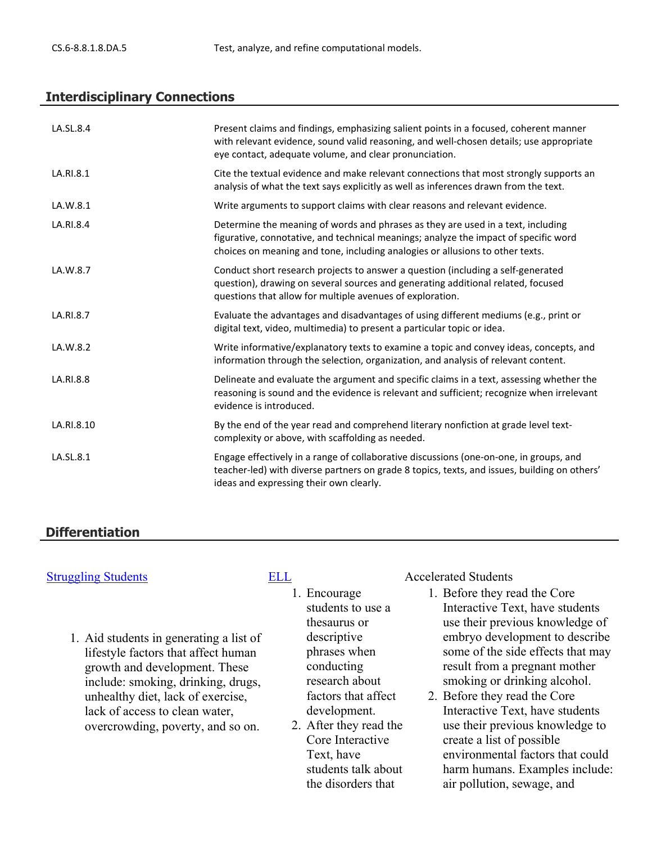#### **Interdisciplinary Connections**

| LA.SL.8.4  | Present claims and findings, emphasizing salient points in a focused, coherent manner<br>with relevant evidence, sound valid reasoning, and well-chosen details; use appropriate<br>eye contact, adequate volume, and clear pronunciation.                |
|------------|-----------------------------------------------------------------------------------------------------------------------------------------------------------------------------------------------------------------------------------------------------------|
| LA.RI.8.1  | Cite the textual evidence and make relevant connections that most strongly supports an<br>analysis of what the text says explicitly as well as inferences drawn from the text.                                                                            |
| LA.W.8.1   | Write arguments to support claims with clear reasons and relevant evidence.                                                                                                                                                                               |
| LA.RI.8.4  | Determine the meaning of words and phrases as they are used in a text, including<br>figurative, connotative, and technical meanings; analyze the impact of specific word<br>choices on meaning and tone, including analogies or allusions to other texts. |
| LA.W.8.7   | Conduct short research projects to answer a question (including a self-generated<br>question), drawing on several sources and generating additional related, focused<br>questions that allow for multiple avenues of exploration.                         |
| LA.RI.8.7  | Evaluate the advantages and disadvantages of using different mediums (e.g., print or<br>digital text, video, multimedia) to present a particular topic or idea.                                                                                           |
| LA.W.8.2   | Write informative/explanatory texts to examine a topic and convey ideas, concepts, and<br>information through the selection, organization, and analysis of relevant content.                                                                              |
| LA.RI.8.8  | Delineate and evaluate the argument and specific claims in a text, assessing whether the<br>reasoning is sound and the evidence is relevant and sufficient; recognize when irrelevant<br>evidence is introduced.                                          |
| LA.RI.8.10 | By the end of the year read and comprehend literary nonfiction at grade level text-<br>complexity or above, with scaffolding as needed.                                                                                                                   |
| LA.SL.8.1  | Engage effectively in a range of collaborative discussions (one-on-one, in groups, and<br>teacher-led) with diverse partners on grade 8 topics, texts, and issues, building on others'<br>ideas and expressing their own clearly.                         |

#### **Differentiation**

1. Aid students in generating a list of lifestyle factors that affect human growth and development. These include: smoking, drinking, drugs, unhealthy diet, lack of exercise, lack of access to clean water, overcrowding, poverty, and so on.

- 1. Encourage students to use a thesaurus or descriptive phrases when conducting research about factors that affect development.
- 2. After they read the Core Interactive Text, have students talk about the disorders that

[Struggling Students](https://app.discoveryeducation.com/player/view/assetGuid/4995767F-D634-40C6-B25B-BDEA06E14F90) **[ELL](https://app.discoveryeducation.com/player/view/assetGuid/D727DF69-B79B-4A92-AA1F-CE23C74D98D9)** Accelerated Students

- 1. Before they read the Core Interactive Text, have students use their previous knowledge of embryo development to describe some of the side effects that may result from a pregnant mother smoking or drinking alcohol.
- 2. Before they read the Core Interactive Text, have students use their previous knowledge to create a list of possible environmental factors that could harm humans. Examples include: air pollution, sewage, and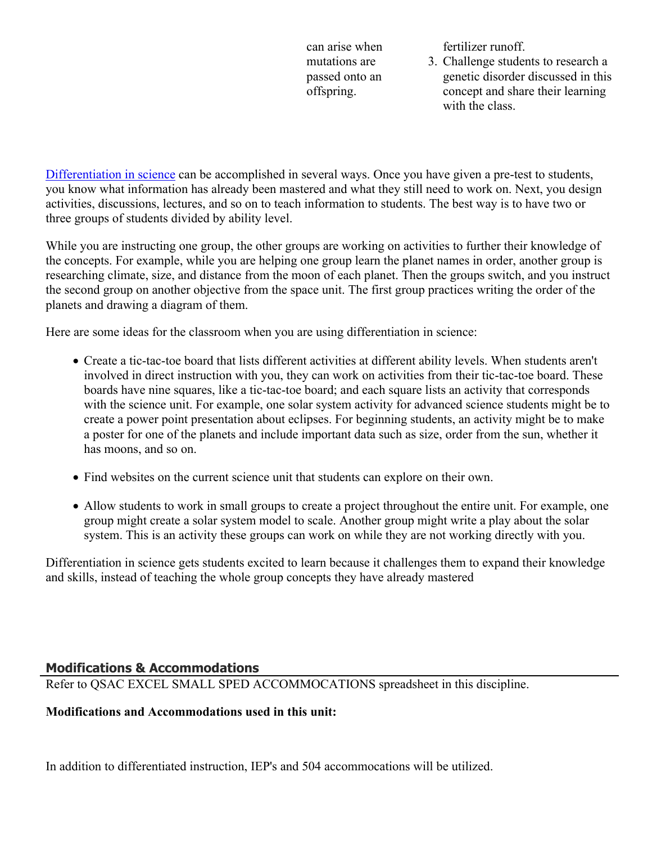can arise when mutations are passed onto an offspring.

fertilizer runoff.

3. Challenge students to research a genetic disorder discussed in this concept and share their learning with the class.

[Differentiation in science](http://www.brighthubeducation.com/teaching-gifted-students/65181-differentiation-techniques-and-activities-in-the-classroom-for-gifted-students/) can be accomplished in several ways. Once you have given a pre-test to students, you know what information has already been mastered and what they still need to work on. Next, you design activities, discussions, lectures, and so on to teach information to students. The best way is to have two or three groups of students divided by ability level.

While you are instructing one group, the other groups are working on activities to further their knowledge of the concepts. For example, while you are helping one group learn the planet names in order, another group is researching climate, size, and distance from the moon of each planet. Then the groups switch, and you instruct the second group on another objective from the space unit. The first group practices writing the order of the planets and drawing a diagram of them.

Here are some ideas for the classroom when you are using differentiation in science:

- Create a tic-tac-toe board that lists different activities at different ability levels. When students aren't involved in direct instruction with you, they can work on activities from their tic-tac-toe board. These boards have nine squares, like a tic-tac-toe board; and each square lists an activity that corresponds with the science unit. For example, one solar system activity for advanced science students might be to create a power point presentation about eclipses. For beginning students, an activity might be to make a poster for one of the planets and include important data such as size, order from the sun, whether it has moons, and so on.
- Find websites on the current science unit that students can explore on their own.
- Allow students to work in small groups to create a project throughout the entire unit. For example, one group might create a solar system model to scale. Another group might write a play about the solar system. This is an activity these groups can work on while they are not working directly with you.

Differentiation in science gets students excited to learn because it challenges them to expand their knowledge and skills, instead of teaching the whole group concepts they have already mastered

# **Modifications & Accommodations**

Refer to QSAC EXCEL SMALL SPED ACCOMMOCATIONS spreadsheet in this discipline.

#### **Modifications and Accommodations used in this unit:**

In addition to differentiated instruction, IEP's and 504 accommocations will be utilized.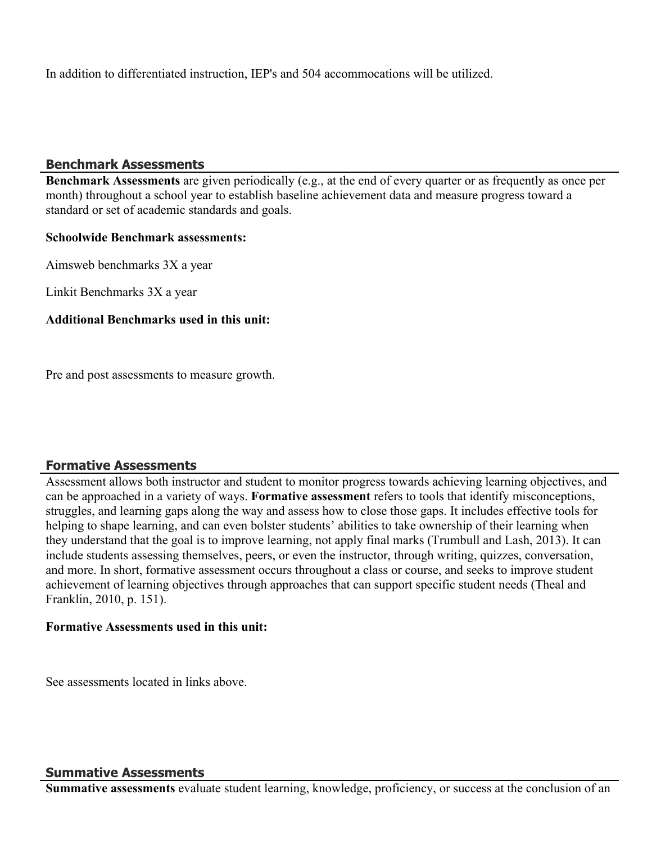In addition to differentiated instruction, IEP's and 504 accommocations will be utilized.

#### **Benchmark Assessments**

**Benchmark Assessments** are given periodically (e.g., at the end of every quarter or as frequently as once per month) throughout a school year to establish baseline achievement data and measure progress toward a standard or set of academic standards and goals.

#### **Schoolwide Benchmark assessments:**

Aimsweb benchmarks 3X a year

Linkit Benchmarks 3X a year

#### **Additional Benchmarks used in this unit:**

Pre and post assessments to measure growth.

#### **Formative Assessments**

Assessment allows both instructor and student to monitor progress towards achieving learning objectives, and can be approached in a variety of ways. **Formative assessment** refers to tools that identify misconceptions, struggles, and learning gaps along the way and assess how to close those gaps. It includes effective tools for helping to shape learning, and can even bolster students' abilities to take ownership of their learning when they understand that the goal is to improve learning, not apply final marks (Trumbull and Lash, 2013). It can include students assessing themselves, peers, or even the instructor, through writing, quizzes, conversation, and more. In short, formative assessment occurs throughout a class or course, and seeks to improve student achievement of learning objectives through approaches that can support specific student needs (Theal and Franklin, 2010, p. 151).

#### **Formative Assessments used in this unit:**

See assessments located in links above.

#### **Summative Assessments**

**Summative assessments** evaluate student learning, knowledge, proficiency, or success at the conclusion of an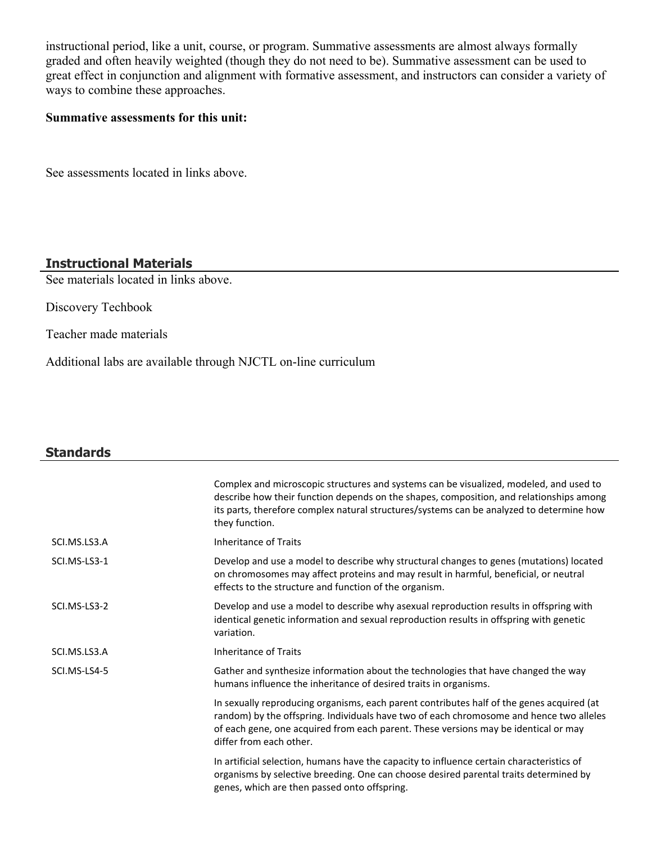instructional period, like a unit, course, or program. Summative assessments are almost always formally graded and often heavily weighted (though they do not need to be). Summative assessment can be used to great effect in conjunction and alignment with formative assessment, and instructors can consider a variety of ways to combine these approaches.

#### **Summative assessments for this unit:**

See assessments located in links above.

### **Instructional Materials**

See materials located in links above.

Discovery Techbook

Teacher made materials

Additional labs are available through NJCTL on-line curriculum

# **Standards**

|              | Complex and microscopic structures and systems can be visualized, modeled, and used to<br>describe how their function depends on the shapes, composition, and relationships among<br>its parts, therefore complex natural structures/systems can be analyzed to determine how<br>they function.        |
|--------------|--------------------------------------------------------------------------------------------------------------------------------------------------------------------------------------------------------------------------------------------------------------------------------------------------------|
| SCI.MS.LS3.A | <b>Inheritance of Traits</b>                                                                                                                                                                                                                                                                           |
| SCI.MS-LS3-1 | Develop and use a model to describe why structural changes to genes (mutations) located<br>on chromosomes may affect proteins and may result in harmful, beneficial, or neutral<br>effects to the structure and function of the organism.                                                              |
| SCI.MS-LS3-2 | Develop and use a model to describe why asexual reproduction results in offspring with<br>identical genetic information and sexual reproduction results in offspring with genetic<br>variation.                                                                                                        |
| SCI.MS.LS3.A | Inheritance of Traits                                                                                                                                                                                                                                                                                  |
| SCI.MS-LS4-5 | Gather and synthesize information about the technologies that have changed the way<br>humans influence the inheritance of desired traits in organisms.                                                                                                                                                 |
|              | In sexually reproducing organisms, each parent contributes half of the genes acquired (at<br>random) by the offspring. Individuals have two of each chromosome and hence two alleles<br>of each gene, one acquired from each parent. These versions may be identical or may<br>differ from each other. |
|              | In artificial selection, humans have the capacity to influence certain characteristics of<br>organisms by selective breeding. One can choose desired parental traits determined by<br>genes, which are then passed onto offspring.                                                                     |